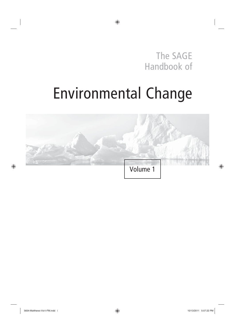The SAGE Handbook of

# Environmental Change

 $\bigoplus$ 



5654-Matthews-Vol-I-FM.indd i 657:22 PM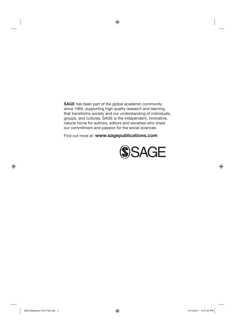SAGE has been part of the global academic community since 1965, supporting high quality research and learning that transforms society and our understanding of individuals, groups, and cultures. SAGE is the independent, innovative, natural home for authors, editors and societies who share our commitment and passion for the social sciences.

 $\bigoplus$ 

Find out more at: www.sagepublications.com



 $\bigoplus$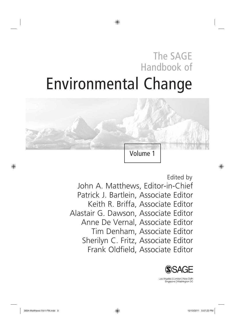# The SAGE Handbook of Environmental Change

◈



Edited by

 $\bigoplus$ 

John A. Matthews, Editor-in-Chief Patrick J. Bartlein, Associate Editor Keith R. Briffa, Associate Editor Alastair G. Dawson, Associate Editor Anne De Vernal, Associate Editor Tim Denham, Associate Editor Sherilyn C. Fritz, Associate Editor Frank Oldfield, Associate Editor



Los Angeles | London | New Delhi Singapore | Washington DC

⊕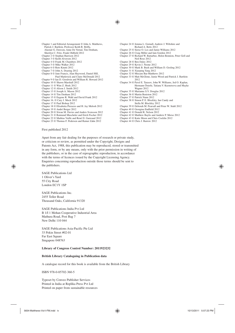♠

Chapter 1 and Editorial Arrangement © John A. Matthews, Patrick J. Bartlein, Professor Keith R. Briffa, Alastair G. Dawson, Anne De Vernal, Tim Denham, Sherilyn C. Fritz, Frank Oldfield 2012 Chapter 2 © Stephan Harrison 2012 Chapter 3 © Keith Alverson 2012 Chapter 4 © Frank M. Chambers 2012 Chapter 5 © Mike Walker 2012 Chapter 6 © Reto Knutti 2012 Chapter 7 © John A. Dearing 2012 Chapter 8 © Jane Francis, Alan Haywood, Daniel Hill, Paul Markwick and Claire McDonald 2012 Chapter 9 © Ian D. Goodwin and William R. Howard 2012 Chapter 10 © Shawn Marshall 2012 Chapter 11 © Wim Z. Hoek 2012 Chapter 12 © Alison J. Smith 2012 Chapter 13 © Joseph A. Mason 2012 Chapter 14 © Tim Denham 2012 Chapter 15 © Eugene R. Wahl and David Frank 2012 Chapter 16. © Cary J. Mock 2012 Chapter 17 © Paul Bishop 2012 Chapter 18 © Elisabetta Pierazzo and H. Jay Melosh 2012 Chapter 19 © André Berger 2012 Chapter 20 © Siwan M. Davies and Anders Svensson 2012 Chapter 21 © Raimund Muscheler and Erich Fischer 2012 Chapter 22 © Mathias Vuille and René D. Garreaud 2012 Chapter 23 © Thomas F. Pedersen and Rainer Zahn 2012

Chapter 24 © Jemma L. Gornall, Andrew J. Wiltshire and Richard A. Betts 2012 Chapter 25 © Sietse O. Los and Jamie Williams 2012 Chapter 26 © Craig Miller and Iain Gordon 2012 Chapter 27 © Richard W. Battarbee, Helen Bennion, Peter Gell and Neil Rose 2012 Chapter 28 © Ben Daley 2012 Chapter 29 © Kevin J. Noone 2012 Chapter 30 © Mark B. Bush and William D. Gosling 2012 Chapter 31 © Xiaoping Yang 2012 Chapter 32 © Miryam Bar-Matthews 2012 Chapter 33 © Mart McGlone, Jamie Wood and Patrick J. Bartlein 2012 Chapter 34 © Pavel E. Tarasov, John W. Williams, Jed O. Kaplan, Hermann Österle, Tatiana V. Kuznetsova and Mayke Wagner 2012 Chapter 35 © Marianne S.V. Douglas 2012 Chapter 36 © Martin Beniston 2012 Chapter 37 © Patrick Nunn 2012 Chapter 38 © Simon P. E. Blockley, Ian Candy and Stella M. Blockley 2012 Chapter 39 © Deborah M. Pearsall and Peter W. Stahl 2012 Chapter 40 © Georgina Endfield 2012 Chapter 41 © Donald R. Nelson 2012 Chapter 42 © Matthew Baylis and Andrew P. Morse 2012 Chapter 43 © Katie Moon and Chris Cocklin 2012

Chapter 44 © Chris J. Barrow 2012

First published 2012

Apart from any fair dealing for the purposes of research or private study, or criticism or review, as permitted under the Copyright, Designs and Patents Act, 1988, this publication may be reproduced, stored or transmitted in any form, or by any means, only with the prior permission in writing of the publishers, or in the case of reprographic reproduction, in accordance with the terms of licences issued by the Copyright Licensing Agency. Enquiries concerning reproduction outside those terms should be sent to the publishers.

SAGE Publications Ltd 1 Oliver's Yard 55 City Road London EC1Y 1SP

⊕

SAGE Publications Inc. 2455 Teller Road Thousand Oaks, California 91320

SAGE Publications India Pvt Ltd B 1/I 1 Mohan Cooperative Industrial Area Mathura Road, Post Bag 7 New Delhi 110 044

SAGE Publications Asia-Pacific Pte Ltd 33 Pekin Street #02-01 Far East Square Singapore 048763

### **Library of Congress Control Number: 2011923232**

#### **British Library Cataloguing in Publication data**

A catalogue record for this book is available from the British Library

ISBN 978-0-85702-360-5

Typeset by Cenveo Publisher Services Printed in India at Replika Press Pvt Ltd Printed on paper from sustainable resources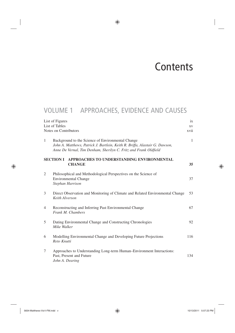### **Contents**

### VOLUME 1 APPROACHES, EVIDENCE AND CAUSES

| List of Figures |                                                                                                                                                                                                      | ix   |
|-----------------|------------------------------------------------------------------------------------------------------------------------------------------------------------------------------------------------------|------|
| List of Tables  |                                                                                                                                                                                                      | XV.  |
|                 | Notes on Contributors                                                                                                                                                                                | xvii |
| $\mathbf{1}$    | Background to the Science of Environmental Change<br>John A. Matthews, Patrick J. Bartlein, Keith R. Briffa, Alastair G. Dawson,<br>Anne De Vernal, Tim Denham, Sherilyn C. Fritz and Frank Oldfield | 1    |
|                 | <b>APPROACHES TO UNDERSTANDING ENVIRONMENTAL</b><br><b>SECTION I</b><br><b>CHANGE</b>                                                                                                                | 35   |
| 2               | Philosophical and Methodological Perspectives on the Science of<br><b>Environmental Change</b><br>Stephan Harrison                                                                                   | 37   |
| 3               | Direct Observation and Monitoring of Climate and Related Environmental Change<br>Keith Alverson                                                                                                      | 53   |
| $\overline{4}$  | Reconstructing and Inferring Past Environmental Change<br>Frank M. Chambers                                                                                                                          | 67   |
| 5               | Dating Environmental Change and Constructing Chronologies<br>Mike Walker                                                                                                                             | 92   |
| 6               | Modelling Environmental Change and Developing Future Projections<br>Reto Knutti                                                                                                                      | 116  |
| 7               | Approaches to Understanding Long-term Human-Environment Interactions:<br>Past, Present and Future<br>John A. Dearing                                                                                 | 134  |

 $\bigoplus$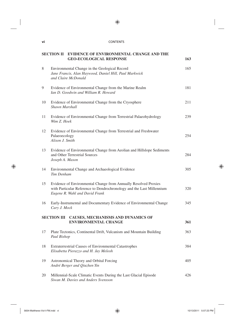|   | I  |
|---|----|
|   | I  |
|   |    |
|   | ۰, |
| × | ٧  |

### **vi** CONTENTS

|    | SECTION II EVIDENCE OF ENVIRONMENTAL CHANGE AND THE<br><b>GEO-ECOLOGICAL RESPONSE</b>                                                                                      | 163 |
|----|----------------------------------------------------------------------------------------------------------------------------------------------------------------------------|-----|
| 8  | Environmental Change in the Geological Record<br>Jane Francis, Alan Haywood, Daniel Hill, Paul Markwick<br>and Claire McDonald                                             | 165 |
| 9  | Evidence of Environmental Change from the Marine Realm<br>Ian D. Goodwin and William R. Howard                                                                             | 181 |
| 10 | Evidence of Environmental Change from the Cryosphere<br>Shawn Marshall                                                                                                     | 211 |
| 11 | Evidence of Environmental Change from Terrestrial Palaeohydrology<br>Wim Z. Hoek                                                                                           | 239 |
| 12 | Evidence of Environmental Change from Terrestrial and Freshwater<br>Palaeoecology<br>Alison J. Smith                                                                       | 254 |
| 13 | Evidence of Environmental Change from Aeolian and Hillslope Sediments<br>and Other Terrestrial Sources<br>Joseph A. Mason                                                  | 284 |
| 14 | Environmental Change and Archaeological Evidence<br>Tim Denham                                                                                                             | 305 |
| 15 | Evidence of Environmental Change from Annually Resolved Proxies<br>with Particular Reference to Dendrochronology and the Last Millennium<br>Eugene R. Wahl and David Frank | 320 |
| 16 | Early-Instrumental and Documentary Evidence of Environmental Change<br>Cary J. Mock                                                                                        | 345 |
|    | SECTION III CAUSES, MECHANISMS AND DYNAMICS OF<br><b>ENVIRONMENTAL CHANGE</b>                                                                                              | 361 |
| 17 | Plate Tectonics, Continental Drift, Vulcanism and Mountain Building<br>Paul Bishop                                                                                         | 363 |
| 18 | Extraterrestrial Causes of Environmental Catastrophes<br>Elisabetta Pierazzo and H. Jay Melosh                                                                             | 384 |
| 19 | Astronomical Theory and Orbital Forcing<br>André Berger and Qiuzhen Yin                                                                                                    | 405 |
| 20 | Millennial-Scale Climatic Events During the Last Glacial Episode<br>Siwan M. Davies and Anders Svensson                                                                    | 426 |

 $\bigoplus$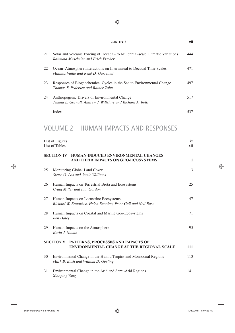### CONTENTS **vii**

 $\bigoplus$ 

| 21  | Solar and Volcanic Forcing of Decadal to Millennial scale Climatic Variations<br>Raimund Muscheler and Erich Fischer | 444 |
|-----|----------------------------------------------------------------------------------------------------------------------|-----|
| 22. | Ocean–Atmosphere Interactions on Interannual to Decadal Time Scales<br>Mathias Vuille and René D. Garreaud           | 471 |
| 23  | Responses of Biogeochemical Cycles in the Sea to Environmental Change<br>Thomas F. Pedersen and Rainer Zahn          | 497 |
| 24  | Anthropogenic Drivers of Environmental Change<br>Jemma L. Gornall, Andrew J. Wiltshire and Richard A. Betts          | 517 |
|     | Index                                                                                                                | 537 |

### VOLUME 2 HUMAN IMPACTS AND RESPONSES

|    | List of Figures<br>List of Tables                                                                           | ix<br>xii     |
|----|-------------------------------------------------------------------------------------------------------------|---------------|
|    | <b>SECTION IV</b><br><b>HUMAN-INDUCED ENVIRONMENTAL CHANGES</b><br>AND THEIR IMPACTS ON GEO-ECOSYSTEMS      | $\mathbf{1}$  |
| 25 | Monitoring Global Land Cover<br>Sietse O. Los and Jamie Williams                                            | $\mathcal{E}$ |
| 26 | Human Impacts on Terrestrial Biota and Ecosystems<br>Craig Miller and Iain Gordon                           | 25            |
| 27 | Human Impacts on Lacustrine Ecosystems<br>Richard W. Battarbee, Helen Bennion, Peter Gell and Neil Rose     | 47            |
| 28 | Human Impacts on Coastal and Marine Geo-Ecosystems<br><b>Ben Daley</b>                                      | 71            |
| 29 | Human Impacts on the Atmosphere<br>Kevin J. Noone                                                           | 95            |
|    | PATTERNS, PROCESSES AND IMPACTS OF<br><b>SECTION V</b><br><b>ENVIRONMENTAL CHANGE AT THE REGIONAL SCALE</b> | 111           |
| 30 | Environmental Change in the Humid Tropics and Monsoonal Regions<br>Mark B. Bush and William D. Gosling      | 113           |
| 31 | Environmental Change in the Arid and Semi-Arid Regions<br>Xiaoping Yang                                     | 141           |

 $\bigoplus$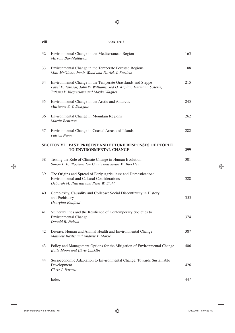### $\bigoplus$

### **viii** CONTENTS

| 32 | Environmental Change in the Mediterranean Region<br>Miryam Bar-Matthews                                                                                                      | 163 |
|----|------------------------------------------------------------------------------------------------------------------------------------------------------------------------------|-----|
| 33 | Environmental Change in the Temperate Forested Regions<br>Matt McGlone, Jamie Wood and Patrick J. Bartlein                                                                   | 188 |
| 34 | Environmental Change in the Temperate Grasslands and Steppe<br>Pavel E. Tarasov, John W. Williams, Jed O. Kaplan, Hermann Österle,<br>Tatiana V. Kuznetsova and Mayke Wagner | 215 |
| 35 | Environmental Change in the Arctic and Antarctic<br>Marianne S. V. Douglas                                                                                                   | 245 |
| 36 | Environmental Change in Mountain Regions<br>Martin Beniston                                                                                                                  | 262 |
| 37 | Environmental Change in Coastal Areas and Islands<br>Patrick Nunn                                                                                                            | 282 |
|    | SECTION VI PAST, PRESENT AND FUTURE RESPONSES OF PEOPLE<br>TO ENVIRONMENTAL CHANGE                                                                                           | 299 |
| 38 | Testing the Role of Climate Change in Human Evolution<br>Simon P. E. Blockley, Ian Candy and Stella M. Blockley                                                              | 301 |
| 39 | The Origins and Spread of Early Agriculture and Domestication:<br><b>Environmental and Cultural Considerations</b><br>Deborah M. Pearsall and Peter W. Stahl                 | 328 |
| 40 | Complexity, Causality and Collapse: Social Discontinuity in History<br>and Prehistory<br>Georgina Endfield                                                                   | 355 |
| 41 | Vulnerabilities and the Resilience of Contemporary Societies to<br><b>Environmental Change</b><br>Donald R. Nelson                                                           | 374 |
| 42 | Disease, Human and Animal Health and Environmental Change<br>Matthew Baylis and Andrew P. Morse                                                                              | 387 |
| 43 | Policy and Management Options for the Mitigation of Environmental Change<br>Katie Moon and Chris Cocklin                                                                     | 406 |
| 44 | Socioeconomic Adaptation to Environmental Change: Towards Sustainable<br>Development<br>Chris J. Barrow                                                                      | 426 |
|    | Index                                                                                                                                                                        | 447 |

 $\bigoplus$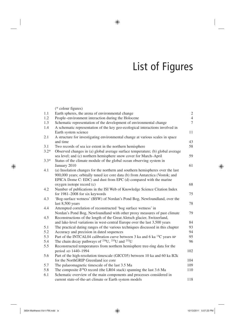# List of Figures

|        | (* colour figures)                                                                    |                |
|--------|---------------------------------------------------------------------------------------|----------------|
| 1.1    | Earth spheres, the arena of environmental change                                      | $\sqrt{2}$     |
| 1.2    | People-environment interaction during the Holocene                                    | $\overline{4}$ |
| 1.3    | Schematic representation of the development of environmental change                   | $\overline{7}$ |
| 1.4    | A schematic representation of the key geo-ecological interactions involved in         |                |
|        | Earth system science                                                                  | 11             |
| 2.1    | A structure for investigating environmental change at various scales in space         |                |
|        | and time                                                                              | 43             |
| 3.1    | Two records of sea ice extent in the northern hemisphere                              | 58             |
| $3.2*$ | Observed changes in (a) global average surface temperature; (b) global average        |                |
|        | sea level; and (c) northern hemisphere snow cover for March-April                     | 59             |
| $3.3*$ | Status of the climate module of the global ocean observing system in                  |                |
|        | January 2010                                                                          | 61             |
| 4.1    | (a) Insolation changes for the northern and southern hemispheres over the last        |                |
|        | 900,000 years; orbitally tuned ice core data (b) from Antarctica (Vostok; and         |                |
|        | EPICA Dome C: EDC) and dust from EPC (d) compared with the marine                     |                |
|        | oxygen isotope record (c)                                                             | 68             |
| 4.2    | Number of publications in the ISI Web of Knowledge Science Citation Index             |                |
|        | for 1981-2008 for six keywords                                                        | 75             |
| 4.3    | 'Bog-surface wetness' (BSW) of Nordan's Pond Bog, Newfoundland, over the              |                |
|        | last 8,500 years                                                                      | 78             |
| 4.4    | Attempted correlation of reconstructed 'bog surface wetness' in                       |                |
|        | Nordan's Pond Bog, Newfoundland with other proxy measures of past climate             | 79             |
| 4.5    | Reconstructions of the length of the Great Aletsch glacier, Switzerland,              |                |
|        | and lake-level variations in west-central Europe over the last 3,500 years            | 84             |
| 5.1    | The practical dating ranges of the various techniques discussed in this chapter       | 93             |
| 5.2    | Accuracy and precision in dated sequences                                             | 94             |
| 5.3    | Part of the INTCAL04 calibration curve between 3 ka and 6 ka <sup>14</sup> C years BP | 95             |
| 5.4    | The chain decay pathways of $^{238}$ U, $^{235}$ U and $^{232}$ U                     | 96             |
| 5.5    | Reconstructed temperatures from northern hemisphere tree-ring data for the            |                |
|        | period AD 1440-1994                                                                   | 102            |
| 5.6    | Part of the high-resolution timescale (GICC05) between 10 ka and 60 ka B2k            |                |
|        | for the NorthGRIP Greenland ice core                                                  | 104            |
| 5.7    | The palaeomagnetic timescale of the last 3.5 Ma                                       | 109            |
| 5.8    | The composite $\delta^{18}O$ record (the LR04 stack) spanning the last 3.6 Ma         | 110            |
| 6.1    | Schematic overview of the main components and processes considered in                 |                |
|        | current state-of-the-art climate or Earth system models                               | 118            |
|        |                                                                                       |                |

 $\bigoplus$ 

 $\bigoplus$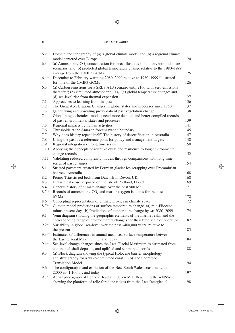### **x** LIST OF FIGURES

| 6.2        | Domain and topography of (a) a global climate model and (b) a regional climate<br>model centered over Europe                                                           | 120        |
|------------|------------------------------------------------------------------------------------------------------------------------------------------------------------------------|------------|
| 6.3        | (a) Atmospheric $CO2$ concentration for three illustrative nonintervention climate<br>scenarios; and (b) predicted global temperature change relative to the 1980–1999 |            |
|            | average from the CMIP3 GCMs                                                                                                                                            | 125        |
| $6.4*$     | December to February warming 2080–2090 relative to 1980–1999 illustrated                                                                                               |            |
|            | for nine of the CMIP3 GCMs                                                                                                                                             | 126        |
| 6.5        | (a) Carbon emissions for a SRES A1B scenario until 2100 with zero emissions                                                                                            |            |
|            | thereafter; (b) simulated atmospheric $CO2$ ; (c) global temperature change; and                                                                                       |            |
|            | (d) sea-level rise from thermal expansion                                                                                                                              | 127        |
| 7.1        | Approaches to learning from the past                                                                                                                                   | 136        |
| 7.2        | The Great Acceleration. Changes in global states and processes since 1750                                                                                              | 137        |
| 7.3        | Quantifying and upscaling proxy data of past vegetation change                                                                                                         | 138        |
| 7.4        | Global biogeochemical models need more detailed and better compiled records                                                                                            |            |
|            | of past environmental states and processes                                                                                                                             | 139        |
| 7.5<br>7.6 | Regional impacts by human activities<br>Thresholds at the Amazon forest-savanna boundary                                                                               | 141<br>145 |
| 7.7        | Why does history repeat itself? The history of desertification in Australia                                                                                            | 147        |
| 7.8        | Using the past as a reference point for policy and management targets                                                                                                  | 148        |
| 7.9        | Regional integration of long time series                                                                                                                               | 150        |
| 7.10       | Applying the concepts of adaptive cycle and resilience to long environmental                                                                                           |            |
|            | change records                                                                                                                                                         | 152        |
| 7.11       | Validating reduced complexity models through comparisons with long time                                                                                                |            |
|            | series of past changes                                                                                                                                                 | 154        |
| 8.1        | Striated pavement created by Permian glacier ice scrapping over Precambrian                                                                                            |            |
|            | bedrock, Australia                                                                                                                                                     | 168        |
| 8.2        | Permo-Triassic red beds from Dawlish in Devon, UK                                                                                                                      | 168        |
| 8.3        | Jurassic palaeosol exposed on the Isle of Portland, Dorset                                                                                                             | 169        |
| 8.4        | General history of climate change over the past 500 Ma                                                                                                                 | 171        |
| $8.5*$     | Records of atmospheric $CO2$ and marine oxygen isotopes for the past                                                                                                   |            |
|            | 65 Ma                                                                                                                                                                  | 172        |
| 8.6        | Conceptual representation of climate proxies in climate space                                                                                                          | 172        |
| $8.7*$     | Climate model predictions of surface temperature change. (a) mid-Pliocene                                                                                              |            |
|            | minus present-day. (b) Predictions of temperature change by AD 2080-2099                                                                                               | 174        |
| 9.1        | Venn diagram showing the geographic elements of the marine realm and the                                                                                               |            |
|            | corresponding range of environmental changes for their time scale of operation                                                                                         | 182        |
| $9.2*$     | Variability in global sea-level over the past ~400,000 years, relative to                                                                                              |            |
|            | the present                                                                                                                                                            | 183        |
| $9.3*$     | Estimates of differences in annual mean sea-surface temperature between                                                                                                |            |
|            | the Last Glacial Maximum  and today                                                                                                                                    | 184        |
| $9.4*$     | Sea-level change changes since the Last Glacial Maximum as estimated from                                                                                              |            |
|            | continental shelf deposits, and uplifted and submerged corals                                                                                                          | 188        |
| 9.5        | (a) Block diagram showing the typical Holocene barrier morphology                                                                                                      |            |
|            | and stratigraphy for a wave-dominated coast (b) The Shoreface                                                                                                          |            |
| 9.6        | <b>Translation Model</b>                                                                                                                                               | 194        |
|            | The configuration and evolution of the New South Wales coastline  at                                                                                                   | 197        |
| $9.7*$     | 2,000 BP, 1,100 BP, and today<br>Aerial photograph of Lennox Head and Seven Mile Beach, northern NSW,                                                                  |            |
|            | showing the planform of relic foredune ridges from the Last Interglacial                                                                                               | 198        |
|            |                                                                                                                                                                        |            |

 $\bigoplus$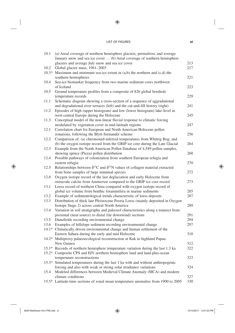### LIST OF FIGURES **xi**

| 10.1    | (a) Areal coverage of northern hemisphere glaciers, permafrost, and average<br>January snow and sea ice cover  (b) Areal coverage of southern hemisphere      |            |
|---------|---------------------------------------------------------------------------------------------------------------------------------------------------------------|------------|
| 10.2    | glaciers and average July snow and sea ice cover<br>Global glacier mass, 1961-2003                                                                            | 213<br>217 |
| $10.3*$ | Maximum and minimum sea-ice extent in $(a,b)$ the northern and $(c,d)$ the                                                                                    |            |
| 10.4    | southern hemispheres<br>Sea-ice biomarker frequency from two marine sediment cores northwest                                                                  | 221        |
| 10.5    | of Iceland<br>Ground temperature profiles from a composite of 826 global borehole                                                                             | 223        |
|         | temperature records                                                                                                                                           | 229        |
| 11.1    | Schematic diagram showing a cross-section of a sequence of aggradational<br>and degradational river terraces (left) and the cut-and-fill history (right)      | 241        |
| 11.2    | Episodes of high (upper histogram) and low (lower histogram) lake-level in<br>west-central Europe during the Holocene                                         | 245        |
| 11.3.   | Conceptual model of the non-linear fluvial response to climatic forcing<br>modulated by vegetation cover in mid-latitude regions                              | 247        |
| 12.1    | Correlation chart for European and North American Holocene pollen                                                                                             |            |
|         | zonations, following the Blytt-Sernander scheme                                                                                                               | 256        |
| 12.2    | Comparison of: (a) chironomid-inferred temperatures from Whitrig Bog; and                                                                                     |            |
|         | (b) the oxygen isotope record from the GRIP ice core during the Late Glacial                                                                                  | 264        |
| 12.3    | Example from the North American Pollen Database of 4,549 pollen samples,                                                                                      |            |
|         | showing spruce (Picea) pollen distribution                                                                                                                    | 268        |
| 12.4    | Possible pathways of colonization from southern European refugia and<br>eastern refugia                                                                       | 270        |
| 12.5    | Relationships between $\delta^{13}C$ and $\delta^{15}N$ values of collagen material extracted<br>from bone samples of large mammal species                    | 272        |
| 12.6    | Oxygen isotope record of the last deglaciation and early Holocene from<br>ostracode calcite from Ammersee compared to the GRIP ice core record                | 273        |
| 13.1    | Loess record of northern China compared with oxygen isotope record of<br>global ice volume from benthic foraminifera in marine sediments                      | 285        |
| 13.2    | Example of sedimentological trends characteristic of loess deposits                                                                                           | 287        |
| 13.3    | Distribution of thick late Pleistocene Peoria Loess (mainly deposited in Oxygen                                                                               |            |
| 13.4    | Isotope Stage 2) across central North America<br>Variation in soil stratigraphy and paleosol characteristics along a transect from                            | 289        |
|         | proximal (near-source) to distal (far downwind) sections                                                                                                      | 291        |
| 13.5    | Dunefields recording environmental change                                                                                                                     | 294        |
| 13.6    | Examples of hillslope sediment recording environmental change<br>14.1* Climatically driven environmental change and human settlement of the                   | 297        |
|         | Eastern Sahara during the early and mid Holocene<br>14.2* Multiproxy palaeoecological reconstruction at Kuk in highland Papua                                 | 310        |
|         | New Guinea                                                                                                                                                    | 312        |
|         | 15.1* Records of northern hemisphere temperature variation during the last 1.3 ka<br>15.2* Composite CPS and EIV northern hemisphere land and land-plus-ocean | 322        |
|         | temperature reconstructions                                                                                                                                   | 323        |
|         | 15.3* Simulated temperatures during the last 1 ka with and without anthropogenic<br>forcing and also with weak or strong solar irradiance variations          | 324        |
| 15.4    | Modeled differences between Medieval Climate Anomaly (MCA) and modern<br>climate conditions                                                                   | 327        |
|         | 15.5* Latitude-time sections of zonal mean temperature anomalies from 1900 to 2005                                                                            | 330        |

5654-Matthews-Vol-I-FM.indd xi 10/13/2011 5:07:23 PM

 $\bigoplus$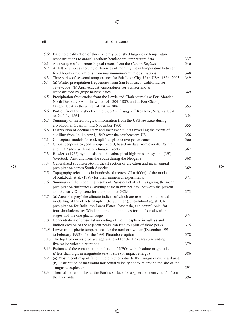### **xii** LIST OF FIGURES

 $\bigoplus$ 

|              | 15.6* Ensemble calibration of three recently published large-scale temperature<br>reconstructions to annual northern hemisphere temperature data                                                              | 337        |
|--------------|---------------------------------------------------------------------------------------------------------------------------------------------------------------------------------------------------------------|------------|
| 16.1<br>16.2 | An example of a meteorological record from the Canton Register<br>At left, examples showing differences of monthly mean temperature between                                                                   | 346        |
| 16.3         | fixed hourly observations from maximum/minimum observations<br>Time series of seasonal temperatures for Salt Lake City, Utah USA, 1856-2003,                                                                  | 348<br>349 |
| 16.4         | (a) Winter precipitation frequencies from San Francisco, California for<br>1849–2009. (b) April-August temperatures for Switzerland as                                                                        |            |
| 16.5         | reconstructed by grape harvest dates<br>Precipitation frequencies from the Lewis and Clark journals at Fort Mandan,<br>North Dakota USA in the winter of 1804–1805, and at Fort Clatsop,                      | 349        |
| 16.6         | Oregon USA in the winter of 1805-1806<br>Portion from the logbook of the USS Wyalusing, off Roanoke, Virginia USA<br>on 24 July, 1864                                                                         | 353<br>354 |
| 16.7         | Summary of meteorological information from the USS Yosemite during<br>a typhoon at Guam in mid November 1900                                                                                                  | 355        |
| 16.8         | Distribution of documentary and instrumental data revealing the extent of<br>a killing from 14-16 April, 1849 over the southeastern US                                                                        | 356        |
| 17.1<br>17.2 | Conceptual models for rock uplift at plate convergence zones<br>Global deep-sea oxygen isotope record, based on data from over 40 DSDP                                                                        | 366        |
| 17.3         | and ODP sites, with major climatic events<br>Bowler's (1982) hypothesis that the subtropical high pressure system $(H)$                                                                                       | 367        |
| 17.4         | 'overtook' Australia from the south during the Neogene<br>Generalized southwest-to-northeast section of elevation and mean annual                                                                             | 368<br>369 |
| 17.5         | precipitation across South America<br>Topography (elevations in hundreds of metres; $CI = 400m$ ) of the model<br>of Kutzbach et al. (1989) for their numerical experiments                                   | 371        |
| 17.6         | Summary of the modelling results of Ramstein et al. (1997) giving the mean<br>precipitation differences (shading scale in mm per day) between the present                                                     |            |
| 17.7         | and the early Oligocene for their summer GCM<br>(a) Areas (in grey) the climate indices of which are used in the numerical<br>modelling of the effects of uplift. (b) Summer (June-July-August: JJA)          | 373        |
|              | precipitation for India, the Loess Plateau/east Asia, and central Asia, for<br>four simulations. (c) Wind and circulation indices for the four elevation                                                      |            |
| 17.8         | stages and the one glacial stage<br>Concentration of erosional unloading of the lithosphere in valleys and                                                                                                    | 374        |
|              | limited erosion of the adjacent peaks can lead to uplift of those peaks<br>17.9* Lower tropospheric temperatures for the northern winter (December 1991<br>to February 1992) after the 1991 Pinatubo eruption | 375<br>378 |
|              | 17.10 The top five curves give average sea level for the 12 years surrounding<br>five major volcanic eruptions                                                                                                | 379        |
|              | 18.1* Estimate of the cumulative population of NEOs with absolute magnitude<br>$H$ less than a given magnitude versus size (or impact energy)                                                                 | 386        |
| 18.2         | (a) Most recent map of fallen tree directions due to the Tunguska event airburst.<br>(b) Distribution of maximum horizontal velocity contours around the site of the                                          |            |
| 18.3         | Tunguska explosion<br>Thermal radiation flux at the Earth's surface for a spherule reentry at 45° from                                                                                                        | 391        |
|              | the horizontal                                                                                                                                                                                                | 394        |

 $\bigoplus$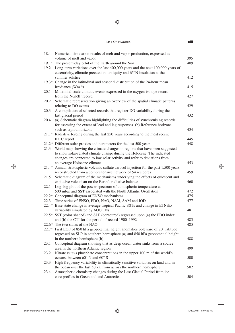### LIST OF FIGURES **xiii**

 $\bigoplus$ 

| 18.4    | Numerical simulation results of melt and vapor production, expressed as<br>volume of melt and vapor | 395 |
|---------|-----------------------------------------------------------------------------------------------------|-----|
|         | 19.1* The present-day orbit of the Earth around the Sun                                             | 409 |
| 19.2    | Long-term variations over the last 400,000 years and the next 100,000 years of                      |     |
|         | eccentricity, climatic precession, obliquity and 65°N insolation at the                             |     |
|         | summer solstice                                                                                     | 412 |
|         | 19.3* Change in the latitudinal and seasonal distribution of the 24-hour mean                       |     |
|         | irradiance $(Wm^{-2})$                                                                              | 415 |
|         | Millennial-scale climatic events expressed in the oxygen isotope record                             |     |
| 20.1    |                                                                                                     |     |
|         | from the NGRIP record                                                                               | 427 |
| 20.2    | Schematic representation giving an overview of the spatial climatic patterns                        | 429 |
|         | relating to DO events                                                                               |     |
| 20.3    | A compilation of selected records that register DO variability during the                           |     |
|         | last glacial period                                                                                 | 432 |
| 20.4    | (a) Schematic diagram highlighting the difficulties of synchronising records                        |     |
|         | for assessing the extent of lead and lag responses. (b) Reference horizons                          |     |
|         | such as tephra horizons                                                                             | 434 |
|         | $21.1*$ Radiative forcing during the last 250 years according to the most recent                    |     |
|         | <b>IPCC</b> report                                                                                  | 445 |
|         | 21.2* Different solar proxies and parameters for the last 500 years.                                | 448 |
| 21.3    | World map showing the climate changes in regions that have been suggested                           |     |
|         | to show solar-related climate change during the Holocene. The indicated                             |     |
|         | changes are connected to low solar activity and refer to deviations from                            |     |
|         | an average Holocene climate                                                                         | 453 |
| $21.4*$ | Annual stratospheric volcanic sulfate aerosol injection for the past 1,500 years                    |     |
|         | reconstructed from a comprehensive network of 54 ice cores                                          | 459 |
| 21.5    | Schematic diagram of the mechanisms underlying the effects of quiescent and                         |     |
|         | explosive volcanism on the Earth's radiative balance                                                | 460 |
| 22.1    | Log-log plot of the power spectrum of atmospheric temperature at                                    |     |
|         | 500 mbar and SST associated with the North Atlantic Oscillation                                     | 472 |
|         | 22.2* Conceptual diagram of ENSO mechanisms                                                         | 475 |
| 22.3    | Time series of ENSO, PDO, NAO, NAM, SAM and IOD                                                     | 477 |
|         | 22.4* Base state change in average tropical Pacific SSTs and change in El Niño                      |     |
|         | variability simulated by AOGCMs                                                                     | 481 |
|         | 22.5* SST (color shaded) and SLP (contoured) regressed upon (a) the PDO index                       |     |
|         | and (b) the CTI for the period of record 1900–1992                                                  | 483 |
|         | 22.6* The two states of the NAO                                                                     | 485 |
|         | 22.7* First EOF of 850 hPa geopotential height anomalies poleward of 20° latitude                   |     |
|         | regressed on SLP in southern hemisphere (a) and 850 hPa geopotential height                         |     |
|         | in the northern hemisphere (b)                                                                      | 488 |
| 23.1    | Conceptual diagram showing that as deep ocean water sinks from a source                             |     |
|         | area in the northern Atlantic region                                                                | 499 |
| 23.2    | Nitrate versus phosphate concentrations in the upper 100 m of the world's                           |     |
|         | oceans, between 60° N and 60° S                                                                     | 500 |
| 23.3    | High-frequency variability in climatically sensitive variables on land and in                       |     |
|         | the ocean over the last 50 ka, from across the northern hemisphere                                  | 502 |
| 23.4    | Atmospheric chemistry changes during the Last Glacial Period from ice                               |     |
|         | core profiles in Greenland and Antarctica                                                           | 504 |

 $\bigoplus$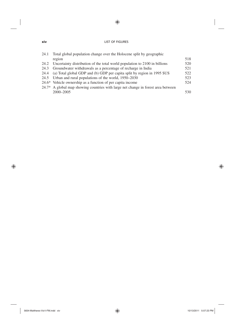### **xiv** LIST OF FIGURES

 $\bigoplus$ 

| 24.1 Total global population change over the Holocene split by geographic         |     |
|-----------------------------------------------------------------------------------|-----|
| region                                                                            | 518 |
| 24.2 Uncertainty distribution of the total world population to 2100 in billions   | 520 |
| 24.3 Groundwater withdrawals as a percentage of recharge in India                 | 521 |
| 24.4 (a) Total global GDP and (b) GDP per capita split by region in 1995 \$US     | 522 |
| 24.5 Urban and rural populations of the world, 1950–2030                          | 523 |
| $24.6*$ Vehicle ownership as a function of per capita income                      | 524 |
| 24.7* A global map showing countries with large net change in forest area between |     |
| 2000-2005                                                                         | 530 |

 $\bigoplus$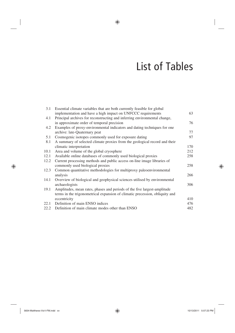## List of Tables

| 3.1  | Essential climate variables that are both currently feasible for global      |     |
|------|------------------------------------------------------------------------------|-----|
|      | implementation and have a high impact on UNFCCC requirements                 | 63  |
| 4.1  | Principal archives for reconstructing and inferring environmental change,    |     |
|      | in approximate order of temporal precision                                   | 76  |
| 4.2  | Examples of proxy-environmental indicators and dating techniques for one     |     |
|      | archive: late-Quaternary peat                                                | 77  |
| 5.1  | Cosmogenic isotopes commonly used for exposure dating                        | 97  |
| 8.1  | A summary of selected climate proxies from the geological record and their   |     |
|      | climatic interpretation                                                      | 170 |
| 10.1 | Area and volume of the global cryosphere                                     | 212 |
| 12.1 | Available online databases of commonly used biological proxies               | 258 |
| 12.2 | Current processing methods and public access on-line image libraries of      |     |
|      | commonly used biological proxies                                             | 258 |
| 12.3 | Common quantitative methodologies for multiproxy paleoenvironmental          |     |
|      | analysis                                                                     | 266 |
| 14.1 | Overview of biological and geophysical sciences utilised by environmental    |     |
|      | archaeologists                                                               | 306 |
| 19.1 | Amplitudes, mean rates, phases and periods of the five largest-amplitude     |     |
|      | terms in the trigonometrical expansion of climatic precession, obliquity and |     |
|      | eccentricity                                                                 | 410 |
| 22.1 | Definition of main ENSO indices                                              | 476 |
| 22.2 | Definition of main climate modes other than ENSO                             | 482 |

 $\bigoplus$ 

 $\bigoplus$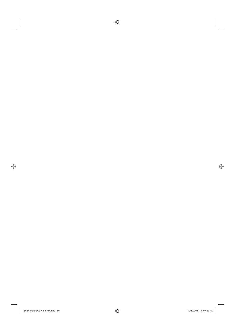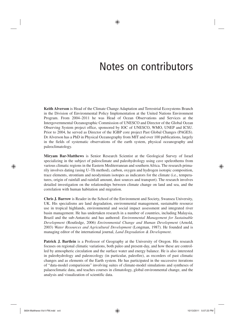### Notes on contributors

**Keith Alverson** is Head of the Climate Change Adaptation and Terrestrial Ecosystems Branch in the Division of Environmental Policy Implementation at the United Nations Environment Program. From 2004–2011 he was Head of Ocean Observations and Services at the Intergovernmental Oceanographic Commission of UNESCO and Director of the Global Ocean Observing System project office, sponsored by IOC of UNESCO, WMO, UNEP and ICSU. Prior to 2004, he served as Director of the IGBP core project Past Global Changes (PAGES). Dr Alverson has a PhD in Physical Oceanography from MIT and over 100 publications, largely in the fields of systematic observations of the earth system, physical oceanography and paleoclimatology.

♠

**Miryam Bar-Matthews** is Senior Research Scientist at the Geological Survey of Israel specializing in the subject of paleoclimate and paleohydrology using cave speleothems from various climatic regions in the Eastern Mediterranean and southern Africa. The research primarily involves dating (using U–Th method), carbon, oxygen and hydrogen isotopic composition, trace elements, strontium and neodymium isotopes as indicators for the climate (i.e., temperatures, origin of rainfall and rainfall amount, dust sources and transport). The research involves detailed investigation on the relationships between climate change on land and sea, and the correlation with human habitation and migration.

**Chris J. Barrow** is Reader in the School of the Environment and Society, Swansea University, UK. His specialisms are land degradation, environmental management, sustainable resource use in tropical highlands, environmental and social impact assessment and integrated river basin management. He has undertaken research in a number of countries, including Malaysia, Brazil and the sub-Antarctic and has authored: *Environmental Management for Sustainable Development* (Routledge, 2006) *Environmental Change and Human Development* (Arnold, 2003) *Water Resources and Agricultural Development* (Longman, 1987). He founded and is managing editor of the international journal, *Land Degradation & Development*.

**Patrick J. Bartlein** is a Professor of Geography at the University of Oregon. His research focuses on regional climatic variations, both paleo and present-day, and how these are controlled by atmospheric circulation and the surface water and energy balance. He is also interested in paleohydrology and paleoecology (in particular, paleofire), as recorders of past climatic changes and as elements of the Earth system. He has participated in the successive iterations of "data-model comparisions" involving suites of climate-model simulations and syntheses of palaeoclimatic data, and teaches courses in climatology, global environmental change, and the analysis and visualization of scientific data.

⊕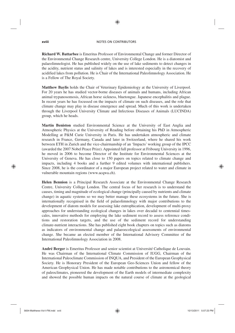### **xviii** NOTES ON CONTRIBUTORS

◈

**Richard W. Battarbee** is Emeritus Professor of Environmental Change and former Director of the Environmental Change Research centre, University College London. He is a diatomist and palaeolimnologist. He has published widely on the use of lake sediments to detect changes in the acidity, nutrient status and salinity of lakes and is interested especially in the recovery of acidified lakes from pollution. He is Chair of the International Paleolimnology Association. He is a Fellow of The Royal Society.

**Matthew Baylis** holds the Chair of Veterinary Epidemiology at the University of Liverpool. For 20 years he has studied vector-borne diseases of animals and humans, including African animal trypanosomosis, African horse sickness, bluetongue. Japanese encephalitis and plague. In recent years he has focussed on the impacts of climate on such diseases, and the role that climate change may play in disease emergence and spread. Much of this work is undertaken through the Liverpool University Climate and Infectious Diseases of Animals (LUCINDA) group, which he heads.

**Martin Beniston** studied Environmental Science at the University of East Anglia and Atmospheric Physics at the University of Reading before obtaining his PhD in Atmospheric Modelling at P&M Curie University in Paris. He has undertaken atmospheric and climate research in France, Germany, Canada and later in Switzerland, where he shared his work between ETH in Zurich and the vice-chairmanship of an 'Impacts' working group of the IPCC (awarded the 2007 Nobel Peace Prize). Appointed full professor at Fribourg University in 1996, he moved in 2006 to become Director of the Institute for Environmental Sciences at the University of Geneva. He has close to 150 papers on topics related to climate change and impacts, including 4 books and a further 9 edited volumes with international publishers. Since 2008, he is the coordinator of a major European project related to water and climate in vulnerable mountain regions (www.acqwa.ch).

**Helen Bennion** is a Principal Research Associate at the Environmental Change Research Centre, University College London. The central focus of her research is to understand the causes, timing and magnitude of ecological change (principally caused by nutrients and climate change) in aquatic systems so we may better manage these ecosystems in the future. She is internationally recognised in the field of palaeolimnology with major contributions to the development of diatom models for assessing lake eutrophication, development of multi-proxy approaches for understanding ecological changes in lakes over decadal to centennial timescales, innovative methods for employing the lake sediment record to assess reference conditions and restoration targets, and the use of the sediment record for understanding climate-nutrient interactions. She has published eight book chapters on topics such as diatoms as indicators of environmental change and palaeoecological assessments of environmental change. She became an elected member of the International Advisory Committee of the International Paleolimnology Association in 2008.

**André Berger** is Emeritus Professor and senior scientist at Université Catholique de Louvain. He was Chairman of the International Climate Commission of IUGG, Chairman of the International Paleoclimate Commission of INQUA, and President of the European Geophysical Society. He is Honorary President of the European Geo-Sciences Union and fellow of the American Geophysical Union. He has made notable contributions to the astronomical theory of paleoclimates, pioneered the development of the Earth models of intermediate complexity and showed the possible human impacts on the natural course of climate at the geological

⊕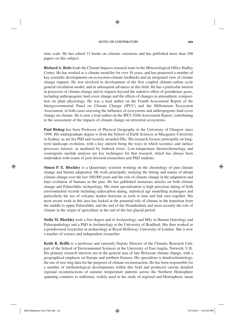### NOTES ON CONTRIBUTORS **xix**

◈

time scale. He has edited 12 books on climatic variations and has published more than 200 papers on this subject.

**Richard A. Betts** leads the Climate Impacts research team in the Meteorological Office Hadley Centre. He has worked as a climate modeller for over 18 years, and has pioneered a number of key scientific developments on ecosystem-climate feedbacks and an integrated view of climate change impacts. He was involved in development of the first coupled climate-carbon cycle general circulation model, and in subsequent advances in this field. He has a particular interest in processes of climate change and its impacts beyond the radiative effect of greenhouse gases, including anthropogenic land cover change and the effects of changes in atmospheric composition on plant physiology. He was a lead author on the Fourth Assessment Report of the Intergovernmental Panel on Climate Change (IPCC) and the Millennium Ecosystem Assessment, in both cases assessing the influence of ecosystems and anthropogenic land cover change on climate. He is now a lead author on the IPCC Fifth Assessment Report, contributing to the assessment of the impacts of climate change on terrestrial ecosystems.

**Paul Bishop** has been Professor of Physical Geography in the University of Glasgow since 1998. His undergraduate degree is from the School of Earth Sciences at Macquarie University in Sydney, as are his PhD and recently awarded DSc. His research focuses principally on longterm landscape evolution, with a key interest being the ways in which tectonics and surface processes interact, as mediated by bedrock rivers. Low-temperature thermochronology and cosmogenic nuclide analysis are key techniques for that research, which has always been undertaken with teams of post-doctoral researchers and PhD students.

**Simon P. E. Blockley** is a Quaternary scientist working on the chronology of past climate change and human adaptation. He work principally studying the timing and nature of abrupt climate change over the last 100,000 years and the role of climate change in the adaptation and later evolution of humans in the past. He has published numerous articles on both climate change and Palaeolithic archaeology. His main specialisation is high precision dating of both environmental records including radiocarbon dating, statistical age modelling techniques and particularly the use of volcanic marker horizons as tools to date and link sites together. His most recent work in this area has looked at the potential role of climate in the transition from the middle to upper Palaeolithic and the end of the Neanderthals and most recently the role of climate in the origin of agriculture at the end of the last glacial period.

**Stella M. Blockley** took a first degree and in Archaeology, and MSc in Human Osteology and Palaeopathology and a PhD in Archaeology at the University of Bradford. She then worked as a postdoctoral researcher in archaeology at Royal Holloway, University of London. She is now a teacher of science and independent researcher.

**Keith R. Briffa** is a professor and currently Deputy Director of the Climatic Research Unit, part of the School of Environmental Sciences at the University of East Anglia, Norwich, U.K. His primary research interests are in the general area of late Holocene climate change, with a geographical emphasis on Europe and northern Eurasia. His specialism is dendroclimatology, the use of tree-ring data for the purposes of climate reconstruction. He has been responsible for a number of methodological developments within this field and produced various detailed regional reconstructions of summer temperature patterns across the Northern Hemisphere spanning centuries to millennia, widely used in the study of regional and Hemispheric mean

⊕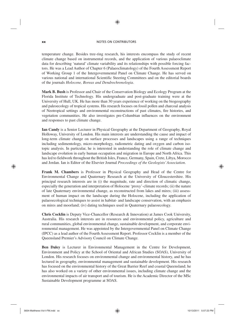### **xx** NOTES ON CONTRIBUTORS

◈

temperature change. Besides tree-ring research, his interests encompass the study of recent climate change based on instrumental records, and the application of various palaeoclimate data for describing 'natural' climate variability and its relationships with possible forcing factors. He was a Lead Author of Chapter 6 (Palaeoclimatology) of the Fourth Assessment Report of Working Group 1 of the Intergovernmental Panel on Climate Change. He has served on various national and international Scientific Steering Committees and on the editorial boards of the journals *Holocene, Boreas and Dendrochronologia*.

**Mark B. Bush** is Professor and Chair of the Conservation Biology and Ecology Program at the Florida Institute of Technology. His undergraduate and post-graduate training were at the University of Hull, UK. He has more than 30 years experience of working on the biogeography and paleoecology of tropical systems. His research focuses on fossil pollen and charcoal analysis of Neotropical settings and environmental reconstructions of past climates, fire histories, and vegetation communities. He also investigates pre-Columbian influences on the environment and responses to past climate change.

**Ian Candy** is a Senior Lecturer in Physical Geography at the Department of Geography, Royal Holloway, University of London. His main interests are understanding the cause and impact of long-term climate change on surface processes and landscapes using a range of techniques including sedimentology, micro-morphology, radiometric dating and oxygen and carbon isotopic analysis. In particular, he is interested in understanding the role of climate change and landscape evolution in early human occupation and migration in Europe and North Africa. This has led to fieldwork throughout the British Isles, France, Germany, Spain, Crete, Libya, Morocco and Jordan. Ian is Editor of the Elsevier Journal *Proceedings of the Geologists' Association*.

**Frank M. Chambers** is Professor in Physical Geography and Head of the Centre for Environmental Change and Quaternary Research at the University of Gloucestershire. His principal research interests are in (i) the magnitude, rate and direction of climatic change, especially the generation and interpretation of Holocene 'proxy'-climate records; (ii) the nature of late Quaternary environmental change, as reconstructed from lakes and mires; (iii) assessment of human impact on the landscape during the Holocene, including the application of palaeoecological techniques to assist in habitat- and landscape conservation, with an emphasis on mires and moorland; (iv) dating techniques used in Quaternary palaeoecology.

**Chris Cocklin** is Deputy Vice-Chancellor (Research & Innovation) at James Cook University, Australia. His research interests are in resources and environmental policy, agriculture and rural communities, global environmental change, sustainable development, and corporate environmental management. He was appointed by the Intergovernmental Panel on Climate Change (IPCC) as a lead author of the Fourth Assessment Report. Professor Cocklin is a member of the Queensland Premier's Advisory Council on Climate Change.

**Ben Daley** is Lecturer in Environmental Management in the Centre for Development, Environment and Policy at the School of Oriental and African Studies (SOAS), University of London. His research focuses on environmental change and environmental history, and he has lectured in geography, environmental management and sustainable development. His research has focused on the environmental history of the Great Barrier Reef and coastal Queensland; he has also worked on a variety of other environmental issues, including climate change and the environmental impacts of air transport and of tourism. He is the Academic Director of the MSc Sustainable Development programme at SOAS.

⊕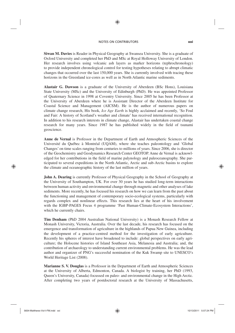### NOTES ON CONTRIBUTORS **xxi**

◈

**Siwan M. Davies** is Reader in Physical Geography at Swansea University. She is a graduate of Oxford University and completed her PhD and MSc at Royal Holloway University of London. Her research involves using volcanic ash layers as marker horizons (tephrochronology) to provide independent chronological control for testing hypotheses relating to abrupt climatic changes that occurred over the last 150,000 years. She is currently involved with tracing these horizons in the Greenland ice-cores as well as in North Atlantic marine sediments.

**Alastair G. Dawson** is a graduate of the University of Aberdeen (BSc Hons), Louisiana State University (MSc) and the University of Edinburgh (PhD). He was appointed Professor of Quaternary Science in 1998 at Coventry University. Since 2005 he has been Professor at the University of Aberdeen where he is Assistant Director of the Aberdeen Institute for Coastal Science and Management (AICSM). He is the author of numerous papers on climate change research, His book, *Ice Age Earth* is highly acclaimed and recently, 'So Foul and Fair: A history of Scotland's weather and climate' has received international recognition. In addition to his research interests in climate change, Alastair has undertaken coastal change research for many years. Since 1987 he has published widely in the field of tsunami geoscience.

**Anne de Vernal** is Professor in the Department of Earth and Atmospheric Sciences of the Université du Québec à Montréal (UQAM), where she teaches paleontology and 'Global Changes' on time scales ranging from centuries to millions of years. Since 2006, she is director of the Geochemistry and Geodynamics Research Center GEOTOP. Anne de Vernal is acknowledged for her contributions in the field of marine palynology and paleoceanography. She participated to several expeditions in the North Atlantic, Arctic and sub-Arctic basins to explore the climate and oceanographic history of the last million of years.

**John A. Dearing** is currently Professor of Physical Geography in the School of Geography at the University of Southampton, UK. For over 30 years he has studied long-term interactions between human activity and environmental change through magnetic and other analyses of lake sediments. More recently, he has focused his research on how we can learn from the past about the functioning and management of contemporary socio-ecological systems, particularly with regards complex and nonlinear effects. This research lies at the heart of his involvement with the IGBP-PAGES Focus 4 programme 'Past Human-Climate-Ecosystem Interactions', which he currently chairs.

**Tim Denham** (PhD 2004 Australian National University) is a Monash Research Fellow at Monash University, Victoria, Australia. Over the last decade, his research has focused on the emergence and transformation of agriculture in the highlands of Papua New Guinea, including the development of a practice-centred method for the investigation of early agriculture. Recently his spheres of interest have broadened to include: global perspectives on early agriculture; the Holocene histories of Island Southeast Asia, Melanesia and Australia; and, the contribution of archaeology to understanding current environmental problems. He was the lead author and organizer of PNG's successful nomination of the Kuk Swamp site to UNESCO's World Heritage List (2008).

**Marianne S. V. Douglas** is a Professor in the Department of Earth and Atmospheric Sciences at the University of Alberta, Edmonton, Canada. A biologist by training, her PhD (1993, Queen's University, Canada) focussed on paleo- and environmental change in the High Arctic. After completing two years of postdoctoral research at the University of Massachusetts,

⊕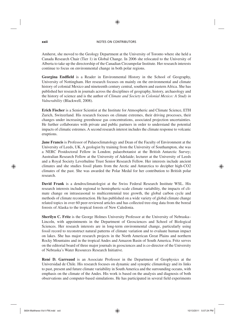### **xxii** NOTES ON CONTRIBUTORS

◈

Amherst, she moved to the Geology Department at the University of Toronto where she held a Canada Research Chair (Tier 1) in Global Change. In 2006 she relocated to the University of Alberta to take up the directorship of the Canadian Circumpolar Institute. Her research interests continue to focus on environmental change in both polar regions.

**Georgina Endfield** is a Reader in Environmental History in the School of Geography, University of Nottingham. Her research focuses on mainly on the environmental and climate history of colonial Mexico and nineteenth century central, southern and eastern Africa. She has published her research in journals across the disciplines of geography, history, archaeology and the history of science and is the author of *Climate and Society in Colonial Mexico: A Study in Vulnerability* (Blackwell, 2008).

**Erich Fischer** is a Senior Scientist at the Institute for Atmospheric and Climate Science, ETH Zurich, Switzerland. His research focuses on climate extremes, their driving processes, their changes under increasing greenhouse gas concentrations, associated projection uncertainties. He further collaborates with private and public partners in order to understand the potential impacts of climatic estremes. A second research interest includes the climate response to volcanic eruptions.

**Jane Francis** is Professor of Palaeoclimatology and Dean of the Faculty of Environment at the University of Leeds, UK. A geologist by training from the University of Southampton, she was a NERC Postdoctoral Fellow in London; palaeobotanist at the British Antarctic Survey; Australian Research Fellow at the University of Adelaide; lecturer at the University of Leeds and a Royal Society Leverhulme Trust Senior Research Fellow. Her interests include ancient climates and she studies fossil plants from the Arctic and Antarctica to decipher high-CO2 climates of the past. She was awarded the Polar Medal for her contribution to British polar research.

**David Frank** is a dendroclimatologist at the Swiss Federal Research Institute WSL. His research interests include regional to hemispheric-scale climate variability, the impacts of climate change on intraseasonal to multicentennial tree growth, the global carbon cycle and methods of climate reconstruction. He has published on a wide variety of global climate change related topics in over 60 peer-reviewed articles and has collected tree-ring data from the boreal forests of Alaska to the tropical forests of New Caledonia.

**Sherilyn C. Fritz** is the George Holmes University Professor at the University of Nebraska– Lincoln, with appointments in the Department of Geosciences and School of Biological Sciences. Her research interests are in long-term environmental change, particularly using fossil record to reconstruct natural patterns of climate variation and to evaluate human impact on lakes. She has major research projects in the North American Great Plains and northern Rocky Mountains and in the tropical Andes and Amazon Basin of South America. Fritz serves on the editorial board of three major journals in geosciences and is co-director of the University of Nebraska's Water Resources Research Initiative.

**René D. Garreaud** is an Associate Professor in the Department of Geophysics at the Universidad de Chile. His research focuses on dynamic and synoptic climatology and its links to past, present and future climate variability in South America and the surrounding oceans, with emphasis on the climate of the Andes. His work is based on the analysis and diagnosis of both observations and computer-based simulations. He has participated in several field experiments

⊕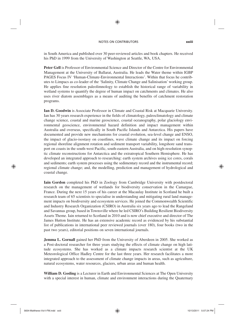### NOTES ON CONTRIBUTORS **xxiii**

in South America and published over 30 peer-reviewed articles and book chapters. He received his PhD in 1999 from the University of Washington at Seattle, WA, USA.

**Peter Gell** is Professor of Environmental Science and Director of the Centre for Environmental Management at the University of Ballarat, Australia. He leads the Water theme within IGBP PAGES Focus IV 'Human-Climate-Environmental Interactions'. Within that focus he contributes to Limpacs as co-leader of the 'Salinity, Climate Change and Salinisation' working group. He applies fine resolution paleolimnology to establish the historical range of variability in wetland systems to quantify the degree of human impact on catchments and climates. He also uses river diatom assemblages as a means of auditing the benefits of catchment restoration programs.

**Ian D. Goodwin** is Associate Professor in Climate and Coastal Risk at Macquarie University. Ian has 30 years research experience in the fields of climatology, paleoclimatology and climate change science, coastal and marine geoscience, coastal oceanography, polar glaciology environmental geoscience, environmental hazard definition and impact management within Australia and overseas, specifically in South Pacific Islands and Antarctica. His papers have documented and provide new mechanisms for coastal evolution, sea-level change and ENSO, the impact of glacio-isostasy on coastlines, wave climate change and its impact on forcing regional shoreline alignment rotation and sediment transport variability, longshore sand transport on coasts in the south-west Pacific, south-eastern Australia, and on high-resolution synoptic climate reconstructions for Antarctica and the extratropical Southern Hemisphere. He has developed an integrated approach to researching: earth system archives using ice cores, corals and sediments; earth system processes using the sedimentary record and the instrumental record; regional climate change; and, the modelling, prediction and management of hydrological and coastal change.

**Iain Gordon** completed his PhD in Zoology from Cambridge University with postdoctoral research on the management of wetlands for biodiversity conservation in the Camargue, France. During the next 15 years of his career at the Macaulay Institute in Scotland he built a research team of 65 scientists to specialise in understanding and mitigating rural land management impacts on biodiversity and ecosystem services. He joined the Commonwealth Scientific and Industry Research Organization (CSIRO) in Australia six years ago to lead the Rangeland and Savannas group, based in Townsville where he led CSIRO's Building Resilient Biodiversity Assets Theme. Iain returned to Scotland in 2010 and is now chief executive and director of The James Hutton Institute. He has an extensive academic record as evidenced by his substantial list of publications in international peer reviewed journals (over 180), four books (two in the past two years), editorial positions on seven international journals.

**Jemma L. Gornall** gained her PhD from the University of Aberdeen in 2005. She worked as a Post-doctoral researcher for three years studying the effects of climate change on high latitude ecosystems. She has worked as a climate impacts research scientist at the UK Meteorological Office Hadley Centre for the last three years. Her research facilitates a more integrated approach to the assessment of climate change impacts in areas, such as agriculture, natural ecosystems, water resources, glaciers, urban areas and human health.

**William D. Gosling** is a Lecturer in Earth and Environmental Sciences at The Open University with a special interest in human, climate and environment interactions during the Quaternary

◈

⊕

◈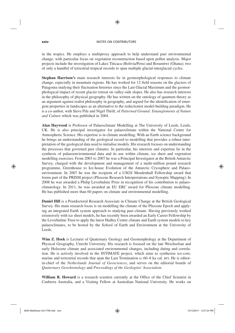#### **xxiv** NOTES ON CONTRIBUTORS

◈

in the tropics. He employs a multiproxy approach to help understand past environmental change, with particular focus on vegetation reconstruction based upon pollen analysis. Major projects include the investigation of Lakes Titicaca (Bolivia/Peru) and Bosumtwi (Ghana); two of only a handful of terrestrial tropical records to span multiple glacial-interglacial cycles.

**Stephan Harrison's** main research interests lie in geomorphological responses to climate change, especially in mountain regions. He has worked for 12 field seasons on the glaciers of Patagonia studying their fluctuation histories since the Last Glacial Maximum and the geomorphological impact of recent glacier retreat on valley-side slopes. He also has research interests in the philosophy of physical geography. He has written on the ontology of quantum theory as an argument against realist philosophy in geography, and argued for the identification of emergent properties in landscapes as an alternative to the reductionist model-building paradigm. He is a co-author, with Steve Pile and Nigel Thrift, of *Patterned Ground: Entanglements of Nature and Culture* which was published in 2004.

**Alan Haywood** is Professor of Palaeoclimate Modelling at The University of Leeds, Leeds, UK. He is also principal investigator for palaeoclimate within the National Centre for Atmospheric Science. His expertise is in climate modelling. With an Earth science background he brings an understanding of the geological record to modelling that provides a robust interpretation of the geological data used to initialise models. His research focuses on understanding the processes that governed past climates. In particular, his interests and expertise lie in the synthesis of palaeoenvironmental data and its use within climate, ice sheet and vegetation modelling exercises. From 2003 to 2007 he was a Principal Investigator at the British Antarctic Survey, charged with the development and management of a multi-million pound research programme, Greenhouse to Ice-house Evolution of the Antarctic Cryosphere and Palaeoenvironment. In 2007 he was the recipient of a USGS Mendenhall Fellowship award that forms part of the PRISM project (Pliocene Research Interpretations and Synoptic Mapping). In 2008 he was awarded a Philip Leverhulme Prize in recognition of his contribution to palaeoclimatology. In 2011, he was awarded an EU ERC award for Pliocene climate modelling. He has published more than 60 papers on climate and environmental modelling.

**Daniel Hill** is a Postdoctoral Research Associate in Climate Change at the British Geological Survey. His main research focus is on modelling the climate of the Pliocene Epoch and applying an integrated Earth system approach to studying past climate. Having previously worked extensively with ice sheet models, he has recently been awarded an Early Career Fellowship by the Leverhulme Trust to apply the latest Hadley Centre climate and Earth system models to key palaeoclimates, to be hosted by the School of Earth and Environment at the University of Leeds.

**Wim Z. Hoek** is Lecturer of Quaternary Geology and Geomorphology at the Department of Physical Geography, Utrecht University. His research is focused on the late Weichselian and early Holocene climate and associated environmental changes, including dating and correlation. He is actively involved in the INTIMATE project, which aims to synthesise ice-core, marine and terrestrial records that span the Last Termination (*c*.60–8 ka cal. BP). He is editorin-chief of the *Netherlands Journal of Geosciences*, and serves on the editorial boards of *Quaternary Geochronology* and *Proceedings of the Geologists' Association*.

**William R. Howard** is a research scientist currently at the Office of the Chief Scientist in Canberra Australia, and a Visiting Fellow at Australian National University. He works on

⊕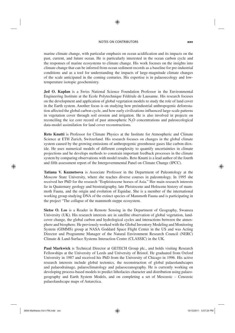### NOTES ON CONTRIBUTORS **xxv**

◈

marine climate change, with particular emphasis on ocean acidification and its impacts on the past, current, and future ocean. He is particularly interested in the ocean carbon cycle and the responses of marine ecosystems to climate change. His work focuses on the insights into climate change that can be inferred from ocean sediment records as a baseline for pre-industrial conditions and as a tool for understanding the impacts of large-magnitude climate changes of the scale anticipated in the coming centuries. His expertise is in palaeoecology and lowtemperature isotopic geochemistry.

**Jed O. Kaplan** is a Swiss National Science Foundation Professor in the Environmental Engineering Institute at the Ecole Polytechnique Fédérale de Lausanne. His research focuses on the development and application of global vegetation models to study the role of land cover in the Earth system. Another focus is on studying how preindustrial anthropogenic deforestation affected the global carbon cycle, and how early civilizations influenced large-scale patterns in vegetation cover through soil erosion and irrigation. He is also involved in projects on reconciling the ice core record of past atmospheric  $N<sub>2</sub>O$  concentrations and paleoecological data-model assimilation for land cover reconstructions.

**Reto Knutti** is Professor for Climate Physics at the Institute for Atmospheric and Climate Science at ETH Zurich, Switzerland. His research focuses on changes in the global climate system caused by the growing emissions of anthropogenic greenhouse gases like carbon dioxide. He uses numerical models of different complexity to quantify uncertainties in climate projections and he develops methods to constrain important feedback processes in the climate system by comparing observations with model results. Reto Knutti is a lead author of the fourth and fifth assessment report of the Intergovernmental Panel on Climate Change (IPCC).

**Tatiana V. Kuznetsova** is Associate Professor in the Department of Paleontology at the Moscow State University, where she teaches diverse courses in paleontology. In 1995 she received her PhD for the research "Eopleistocene horses of Asia." Her main research interests lie in Quaternary geology and biostratigraphy, late Pleistocene and Holocene history of mammoth Fauna, and the origin and evolution of Equidae. She is a member of the international working group studying DNA of the extinct species of Mammoth Fauna and is participating in the project "The collapse of the mammoth steppe ecosystem.

**Sietse O. Los** is a Reader in Remote Sensing in the Department of Geography, Swansea University (UK). His research interests are in satellite observation of global vegetation, landcover change, the global carbon and hydrological cycles and interactions between the atmosphere and biosphere. He previously worked with the Global Inventory Modeling and Monitoring System (GIMMS) group at NASA Goddard Space Flight Center in the US and was Acting Director and Programme Manager of the Natural Environment Research Council (NERC) Climate & Land-Surface Systems Interaction Centre (CLASSIC) in the UK.

**Paul Markwick** is Technical Director at GETECH Group plc., and holds visiting Research Fellowships at the University of Leeds and University of Bristol. He graduated from Oxford University in 1987 and received his PhD from the University of Chicago in 1996. His active research interests include global tectonics, the reconstruction of global palaeolandscapes and palaeodrainage, palaeoclimatology and palaeoceanography. He is currently working on developing process-based models to predict lithofacies character and distribution using palaeogeography and Earth System Models, and on completing a set of Mesozoic – Cenozoic palaeolandscape maps of Antarctica.

⊕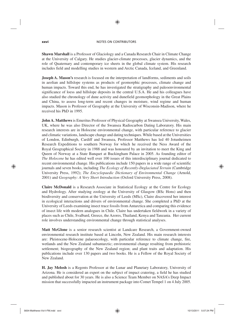### **xxvi** NOTES ON CONTRIBUTORS

♠

**Shawn Marshall** is a Professor of Glaciology and a Canada Research Chair in Climate Change at the University of Calgary. He studies glacier-climate processes, glacier dynamics, and the role of Quaternary and contemporary ice sheets in the global climate system. His research includes field and modelling studies in western and Arctic Canada, Iceland, and Greenland.

**Joseph A. Mason's** research is focused on the interpretation of landforms, sediments and soils in aeolian and hillslope systems as products of geomorphic processes, climate change and human impacts. Toward this end, he has investigated the stratigraphy and paleoenvironmental significance of loess and hillslope deposits in the central U.S.A. He and his colleagues have also studied the chronology of dune activity and dunefield geomorphology in the Great Plains and China, to assess long-term and recent changes in moisture, wind regime and human impacts. Mason is Professor of Geography at the University of Wisconsin-Madison, where he received his PhD in 1995.

**John A. Matthews** is Emeritus Professor of Physical Geography at Swansea University, Wales, UK, where he was also Director of the Swansea Radiocarbon Dating Laboratory. His main research interests are in Holocene environmental change, with particular reference to glacier and climatic variations, landscape change and dating techniques. While based at the Universities of London, Edinburgh, Cardiff and Swansea, Professor Matthews has led 40 Jotunheimen Research Expeditions to southern Norway for which he received the Ness Award of the Royal Geographical Society in 1988 and was honoured by an invitation to meet the King and Queen of Norway at a State Banquet at Buckingham Palace in 2005. As founding editor of *The Holocene* he has edited well over 100 issues of this interdisciplinary journal dedicated to recent environmental change. His publications include 150 papers in a wide range of scientific journals and seven books, including *The Ecology of Recently-Deglaciated Terrain* (Cambridge University Press, 1992); *The Encyclopaedic Dictionary of Environmental Change* (Arnold, 2001) and *Geography: A Very Short Introduction* (Oxford University Press, 2008).

**Claire McDonald** is a Research Associate in Statistical Ecology at the Centre for Ecology and Hydrology. After studying zoology at the University of Glasgow (BSc Hons) and then biodiversity and conservation at the University of Leeds (MSc), Claire discovered her interest in ecological interactions and drivers of environmental change. She completed a PhD at the University of Leeds examining insect trace fossils from Antarctica and comparing this evidence of insect life with modern analogues in Chile. Claire has undertaken fieldwork in a variety of places such as Chile, Svalbard, Greece, the Azores, Thailand, Kenya and Tanzania. Her current role involves understanding environmental change through statistical analyses.

**Matt McGlone** is a senior research scientist at Landcare Research, a Government-owned environmental research institute based at Lincoln, New Zealand. His main research interests are: Pleistocene-Holocene palaeoecology, with particular reference to climate change, fire, wetlands and the New Zealand subantarctic; environmental change resulting from prehistoric settlement; biogeography of the New Zealand region; and plant traits and adaptation. His publications include over 130 papers and two books. He is a Fellow of the Royal Society of New Zealand.

**H. Jay Melosh** is a Regents Professor at the Lunar and Planetary Laboratory, University of Arizona. He is considered an expert on the subject of impact cratering, a field he has studied and published about for 30 years. He is also a Science Team Member on NASA's Deep Impact mission that successfully impacted an instrument package into Comet Tempel 1 on 4 July 2005.

⊕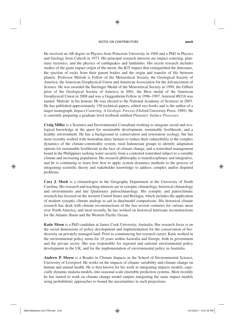### NOTES ON CONTRIBUTORS **xxvii**

♠

He received an AB degree in Physics from Princeton University in 1969 and a PhD in Physics and Geology from Caltech in 1973. His principal research interests are impact cratering, planetary tectonics, and the physics of earthquakes and landslides. His recent research includes studies of the giant impact origin of the moon, the K/T impact that extinguished the dinosaurs, the ejection of rocks from their parent bodies and the origin and transfer of life between planets. Professor Melosh is Fellow of the Meteoritical Society, the Geological Society of America, the American Geophysical Union and American Association for the Advancement of Science. He was awarded the Barringer Medal of the Meteoritical Society in 1999, the Gilbert prize of the Geological Society of America in 2001, the Hess medal of the American Geophysical Union in 2008 and was a Guggenheim Fellow in 1996–1997. Asteroid #8216 was named 'Melosh' in his honour. He was elected to the National Academy of Sciences in 2003. He has published approximately 150 technical papers, edited two books and is the author of a major monograph, *Impact Cratering: A Geologic Process* (Oxford University Press, 1989). He is currently preparing a graduate level textbook entitled *Planetary Surface Processes*.

**Craig Miller** is a Scientist and Environmental Consultant working to integrate social and ecological knowledge in the quest for sustainable development, sustainable livelihoods, and a healthy environment. He has a background in conservation and restoration ecology, but has more recently worked with Australian dairy farmers to reduce their vulnerability to the complex dynamics of the climate-commodity system, rural Indonesian groups to identify adaptation options for sustainable livelihoods in the face of climate change, and a watershed management board in the Philippines seeking water security from a contested watershed subject to a variable climate and increasing population. His research philosophy is transdisciplinary and integrative, and he is continuing to learn how best to apply system dynamics methods to the process of integrating scientific theory and stakeholder knowledge to address complex and/or disputed problems.

**Cary J. Mock** is a climatologist in the Geography Department at the University of South Carolina. His research and teaching interests are in synoptic climatology, historical climatology and environments and late Quaternary paleoclimatology. His synoptic and paleoclimatic research has focused on the western United States and Beringia, which includes the application of modern synoptic climate analogs to aid in data/model comparisons. His historical climate research has dealt with climate reconstructions of the last several centuries for various areas over North America, and most recently, he has worked on historical hurricane reconstructions for the Atlantic Basin and the Western Pacific Ocean.

**Katie Moon** is a PhD candidate at James Cook University, Australia. Her research focus is on the social dimensions of policy development and implementation for the conservation of biodiversity on privately managed land. Prior to commencing her research career, Katie worked in the environmental policy arena for 10 years within Australia and Europe, both in government and the private sector. She was responsible for regional and national environmental policy development in the UK, and for the implementation of environmental policy in Australia.

**Andrew P. Morse** is a Reader in Climate Impacts in the School of Environmental Science, University of Liverpool. He works on the impacts of climate variability and climate change on human and animal health. He is best known for his work in integrating impacts models, especially dynamic malaria models, into seasonal scale ensemble prediction systems. Most recently he has started to work on climate change model outputs integrating the same impact models using probabilistic approaches to bound the uncertainties in such projections.

⊕

◈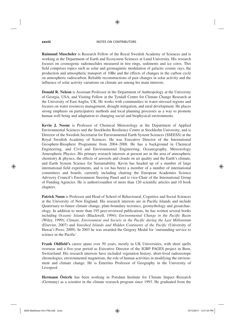#### **xxviii** NOTES ON CONTRIBUTORS

♠

**Raimund Muscheler** is Research Fellow of the Royal Swedish Academy of Sciences and is working at the Department of Earth and Ecosystem Sciences at Lund University. His research focuses on cosmogenic radionuclides measured in tree rings, sediments and ice cores. This field comprises topics such as solar and geomagnetic modulation of galactic cosmic rays, the production and atmospheric transport of 10Be and the effects of changes in the carbon cycle on atmospheric radiocarbon. Reliable reconstructions of past changes in solar activity and the influence of solar activity variations on climate are among his main interests.

**Donald R. Nelson** is Assistant Professor in the Department of Anthropology at the University of Georgia, USA, and Visiting Fellow at the Tyndall Centre for Climate Change Research at the University of East Anglia, UK. He works with communities in water-stressed regions and focuses on water resources management, drought mitigation, and rural development. He places strong emphasis on participatory methods and local planning processes as a way to promote human well being and adaptation to changing social and biophysical environments.

**Kevin J. Noone** is Professor of Chemical Meteorology at the Department of Applied Environmental Sciences and the Stockholm Resilience Centre at Stockholm University, and is Director of the Swedish Secretariat for Environmental Earth System Sciences (SSEESS) at the Royal Swedish Academy of Sciences. He was Executive Director of the International Geosphere-Biosphere Programme from 2004–2008. He has a background in Chemical Engineering, and Civil and Environmental Engineering, Oceanography, Meteorology Atmospheric Physics. His primary research interests at present are in the area of atmospheric chemistry & physics, the effects of aerosols and clouds on air quality and the Earth's climate, and Earth System Science for Sustainability. Kevin has headed up of a number of large international field experiments, and is (or has been) a member of a number of international committees and boards, currently including chairing the European Academies Science Advisory Council's Environment Steering Panel and is vice-Chair of the International Group of Funding Agencies. He is author/coauthor of more than 120 scientific articles and 10 book chapters.

**Patrick Nunn** is Professor and Head of School of Behavioural, Cognitive and Social Sciences at the University of New England. His research interests are in Pacific Islands and include Quaternary-to-future climate change, plate-boundary tectonics, geomythology and geoarchaeology. In addition to more than 195 peer-reviewed publications, he has written several books including *Oceanic Islands* (Blackwell, 1994); *Environmental Change in the Pacific Basin* (Wiley, 1999); *Climate, Environment and Society in the Pacific during the Last Millennium* (Elsevier, 2007) and *Vanished Islands and Hidden Continents of the Pacific* (University of Hawai'i Press, 2009). In 2003 he was awarded the Gregory Medal for 'outstanding service to science in the Pacific'.

**Frank Oldfield's** career spans over 50 years, mostly in UK Universities, with short spells overseas and a five-year period as Executive Director of the IGBP PAGES project in Bern, Switzerland. His research interests have included vegetation history, short-lived radioisotope chronologies, environmental magnetism, the role of human activities in modifying the environment and climate change. He is Emeritus Professor of Geography in the University of Liverpool.

**Hermann Österle** has been working in Potsdam Institute for Climate Impact Research (Germany) as a scientist in the climate research program since 1993. He graduated from the

⊕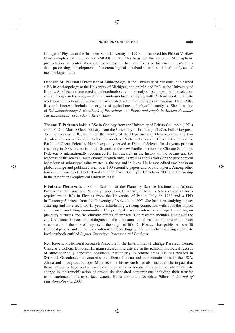### NOTES ON CONTRIBUTORS **xxix**

♠

College of Physics at the Tashkent State University in 1970 and received his PhD at Voeikov Main Geophysical Observatory (MGO) in St Petersburg for the research 'Atmospheric precipitation in Central Asia and its forecast'. The main focus of his current research is data processing, development of meteorological databanks, and statistical analyses of meteorological data.

**Deborah M. Pearsall** is Professor of Anthropology at the University of Missouri. She earned a BA in Anthropology at the University of Michigan, and an MA and PhD at the University of Illinois. She became interested in paleoethnobotany—the study of plant–people interrelationships through archaeology—while an undergraduate, studying with Richard Ford. Graduate work took her to Ecuador, where she participated in Donald Lathrap's excavations at Real Alto. Research interests include the origins of agriculture and phytolith analysis. She is author of *Paleoethnobotany: A Handbook of Procedures* and *Plants and People in Ancient Ecuador: The Ethnobotany of the Jama River Valley*.

**Thomas F. Pedersen** holds a BSc in Geology from the University of British Columbia (1974) and a PhD in Marine Geochemistry from the University of Edinburgh (1979). Following postdoctoral work at UBC, he joined the faculty of the Department of Oceanography and two decades later moved in 2002 to the University of Victoria to become Head of the School of Earth and Ocean Sciences. He subsequently served as Dean of Science for six years prior to assuming in 2009 the position of Director of the new Pacific Institute for Climate Solutions. Pedersen is internationally recognised for his research in the history of the oceans and the response of the sea to climate change through time, as well as for his work on the geochemical behaviour of submerged mine wastes in the sea and in lakes. He has co-edited two books on global change and published well over 100 scientific papers and book chapters. Among other honours, he was elected to Fellowship in the Royal Society of Canada in 2002 and Fellowship in the American Geophysical Union in 2006.

**Elisabetta Pierazzo** is a Senior Scientist at the Planetary Science Institute and Adjunct Professor at the Lunar and Planetary Laboratory, University of Arizona. She received a Laurea (equivalent to BS) in Physics from the University of Padua, Italy, in 1988 and a PhD in Planetary Sciences from the University of Arizona in 1997. She has been studying impact cratering and its effects for 15 years, establishing a strong connection with both the impact and climate modelling communities. Her principal research interests are impact cratering on planetary surfaces and the climatic effects of impacts. Her research includes studies of the end-Cretaceous impact that extinguished the dinosaurs, the formation of terrestrial impact structures, and the role of impacts in the origin of life. Dr. Pierazzo has published over 30 technical papers, and edited two conference proceedings. She is currently co-editing a graduate level textbook entitled *Impact Cratering: Processes and Products.*

**Neil Rose** is Professorial Research Associate in the Environmental Change Research Centre, University College London. His main research interests are in the palaeolimnological records of atmospherically deposited pollutants, particularly in remote areas. He has worked in Svalbard, Greenland, the Antarctic, the Tibetan Plateau and in mountain lakes in the USA, Africa and throughout Europe. More recently his research has also included the impact that these pollutants have on the toxicity of sediments to aquatic biota and the role of climate change in the remobilisation of previously deposited contaminants including their transfer from catchment soils to surface waters. He is appointed Associate Editor of *Journal of Paleolimnology* in 2008.

⊕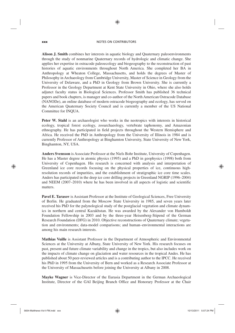### **xxx** NOTES ON CONTRIBUTORS

♠

**Alison J. Smith** combines her interests in aquatic biology and Quaternary paleoenvironments through the study of nonmarine Quaternary records of hydrologic and climatic change. She applies her expertise in ostracode paleoecology and biogeography to the reconstruction of past histories of aquatic environments throughout North America. She completed her BA in Anthropology at Wheaton College, Massachusetts, and holds the degrees of Master of Philosophy in Archaeology from Cambridge University, Master of Science in Geology from the University of Delaware, and a PhD in Geology from Brown University. She is currently a Professor in the Geology Department at Kent State University in Ohio, where she also holds adjunct faculty status in Biological Sciences. Professor Smith has published 36 technical papers and book chapters, is manager and co-author of the North American Ostracode Database (NANODe), an online database of modern ostracode biogeography and ecology, has served on the American Quaternary Society Council and is currently a member of the US National Committee for INQUA.

**Peter W. Stahl** is an archaeologist who works in the neotropics with interests in historical ecology, tropical forest ecology, zooarchaeology, vertebrate taphonomy, and Amazonian ethnography. He has participated in field projects throughout the Western Hemisphere and Africa. He received the PhD in Anthropology from the University of Illinois in 1984 and is currently Professor of Anthropology at Binghamton University, State University of New York, Binghamton, NY, USA.

**Anders Svensson** is Associate Professor at the Niels Bohr Institute, University of Copenhagen. He has a Master degree in atomic physics (1995) and a PhD in geophysics (1998) both from University of Copenhagen. His research is concerned with analysis and interpretation of Greenland ice core records focusing on the physical properties of ice, continuous highresolution records of impurities, and the establishment of stratigraphic ice core time scales. Anders has participated in the deep ice core drilling projects in Greenland NGRIP (1996–2004) and NEEM (2007–2010) where he has been involved in all aspects of logistic and scientific matters.

**Pavel E. Tarasov** is Assistant Professor at the Institute of Geological Sciences, Free University of Berlin. He graduated from the Moscow State University in 1985, and seven years later received his PhD for the palynological study of the postglacial vegetation and climate dynamics in northern and central Kazakhstan. He was awarded by the Alexander von Humboldt Foundation Fellowship in 2003 and by the three-year Heisenberg-Stipend of the German Research Foundation (DFG) in 2010. Objective reconstructions of Quaternary climate; vegetation and environments; data-model comparisons; and human–environmental interactions are among his main research interests.

**Mathias Vuille** is Assistant Professor in the Department of Atmospheric and Environmental Sciences at the University at Albany, State University of New York. His research focuses on past, present and future climate variability and change in the tropics, but also includes work on the impacts of climate change on glaciation and water resources in the tropical Andes. He has published about 50 peer-reviewed articles and is a contributing author to the IPCC. He received his PhD in 1995 from the University of Bern and worked as a Research Associate Professor at the University of Massachusetts before joining the University at Albany in 2008.

**Mayke Wagner** is Vice-Director of the Eurasia Department in the German Archaeological Institute, Director of the GAI Beijing Branch Office and Honorary Professor at the Chair

⊕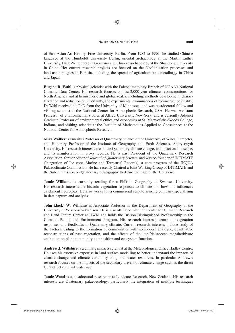### NOTES ON CONTRIBUTORS **xxxi**

♠

of East Asian Art History, Free University, Berlin. From 1982 to 1990 she studied Chinese language at the Humboldt University Berlin, oriental archaeology at the Martin Luther University, Halle-Wittenberg in Germany and Chinese archaeology at the Shandong University in China. Her current research projects are focused on the Neolithization processes and land-use strategies in Eurasia, including the spread of agriculture and metallurgy in China and Japan.

**Eugene R. Wahl** is physical scientist with the Paleoclimatology Branch of NOAA's National Climatic Data Center. His research focuses on last-2,000-year climate reconstructions for North America and at hemispheric and global scales, including: methods development, characterization and reduction of uncertainty, and experimental examinations of reconstruction quality. Dr Wahl received his PhD from the University of Minnesota, and was postdoctoral fellow and visiting scientist at the National Center for Atmospheric Research, USA. He was Assistant Professor of environmental studies at Alfred University, New York, and is currently Adjunct Graduate Professor of environmental ethics and economics at St. Mary-of-the-Woods College, Indiana, and visiting scientist at the Institute of Mathematics Applied to Geosciences at the National Center for Atmospheric Research.

**Mike Walker** is Emeritus Professor of Quaternary Science of the University of Wales, Lampeter, and Honorary Professor of the Institute of Geography and Earth Sciences, Aberystwyth University. His research interests are in late Quaternary climate change, its impact on landscape, and its manifestation in proxy records. He is past President of the Quaternary Research Association, former editor of *Journal of Quaternary Science*, and was co-founder of INTIMATE (Integration of Ice core, Marine and Terrestrial Records), a core program of the INQUA Palaeoclimate Commission. He has recently Chaired a Joint Working Group of INTIMATE and the Subcommission on Quaternary Stratigraphy to define the base of the Holocene.

**Jamie Williams** is currently reading for a PhD in Geography at Swansea University. His research interests are historic vegetation responses to climate and how this influences catchment hydrology. He also works for a commercial remote sensing company specialising in data capture and analysis.

**John (Jack) W. Williams** is Associate Professor in the Department of Geography at the University of Wisconsin–Madison. He is also affiliated with the Center for Climatic Research and Land Tenure Center at UWM and holds the Bryson Distinguished Professorship in the Climate, People and Environment Program. His research interests centre on vegetation responses and feedbacks to Quaternary climate. Current research interests include study of the factors leading to the formation of communities with no modern analogue, quantitative reconstructions of past vegetation, and the effects of the late-Pleistocene megaherbivore extinction on plant community composition and ecosystem function.

**Andrew J. Wiltshire** is a climate impacts scientist at the Meteorological Office Hadley Centre. He uses his extensive expertise in land surface modelling to better understand the impacts of climate change and climate variability on global water resources. In particular Andrew's research focuses on the impacts of the secondary drivers of climate change such as the direct CO2 effect on plant water use.

**Jamie Wood** is a postdoctoral researcher at Landcare Research, New Zealand. His research interests are Quaternary palaeoecology, particularly the integration of multiple techniques

⊕